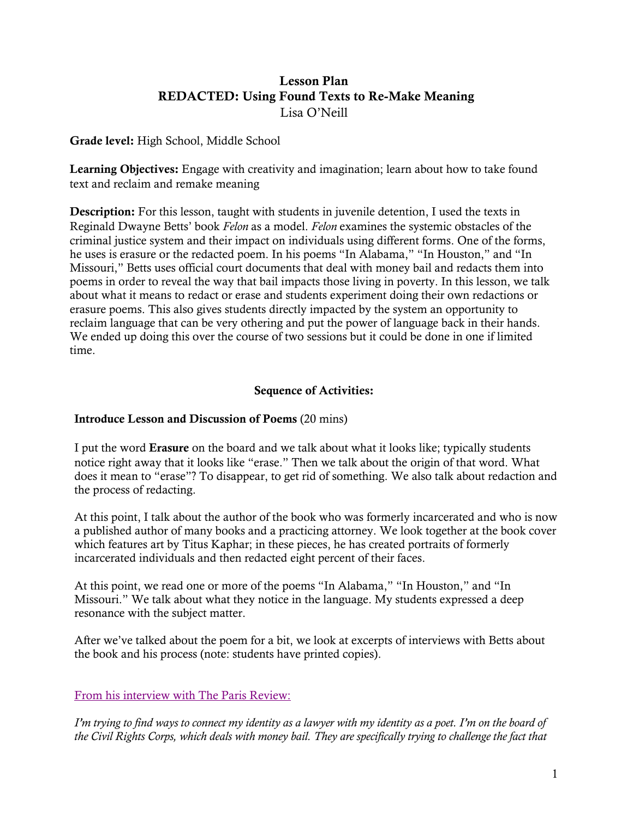# Lesson Plan REDACTED: Using Found Texts to Re-Make Meaning Lisa O'Neill

Grade level: High School, Middle School

Learning Objectives: Engage with creativity and imagination; learn about how to take found text and reclaim and remake meaning

**Description:** For this lesson, taught with students in juvenile detention, I used the texts in Reginald Dwayne Betts' book *Felon* as a model. *Felon* examines the systemic obstacles of the criminal justice system and their impact on individuals using different forms. One of the forms, he uses is erasure or the redacted poem. In his poems "In Alabama," "In Houston," and "In Missouri," Betts uses official court documents that deal with money bail and redacts them into poems in order to reveal the way that bail impacts those living in poverty. In this lesson, we talk about what it means to redact or erase and students experiment doing their own redactions or erasure poems. This also gives students directly impacted by the system an opportunity to reclaim language that can be very othering and put the power of language back in their hands. We ended up doing this over the course of two sessions but it could be done in one if limited time.

# Sequence of Activities:

## Introduce Lesson and Discussion of Poems (20 mins)

I put the word Erasure on the board and we talk about what it looks like; typically students notice right away that it looks like "erase." Then we talk about the origin of that word. What does it mean to "erase"? To disappear, to get rid of something. We also talk about redaction and the process of redacting.

At this point, I talk about the author of the book who was formerly incarcerated and who is now a published author of many books and a practicing attorney. We look together at the book cover which features art by Titus Kaphar; in these pieces, he has created portraits of formerly incarcerated individuals and then redacted eight percent of their faces.

At this point, we read one or more of the poems "In Alabama," "In Houston," and "In Missouri." We talk about what they notice in the language. My students expressed a deep resonance with the subject matter.

After we've talked about the poem for a bit, we look at excerpts of interviews with Betts about the book and his process (note: students have printed copies).

# From his interview with The Paris Review:

*I'm trying to find ways to connect my identity as a lawyer with my identity as a poet. I'm on the board of the Civil Rights Corps, which deals with money bail. They are specifically trying to challenge the fact that*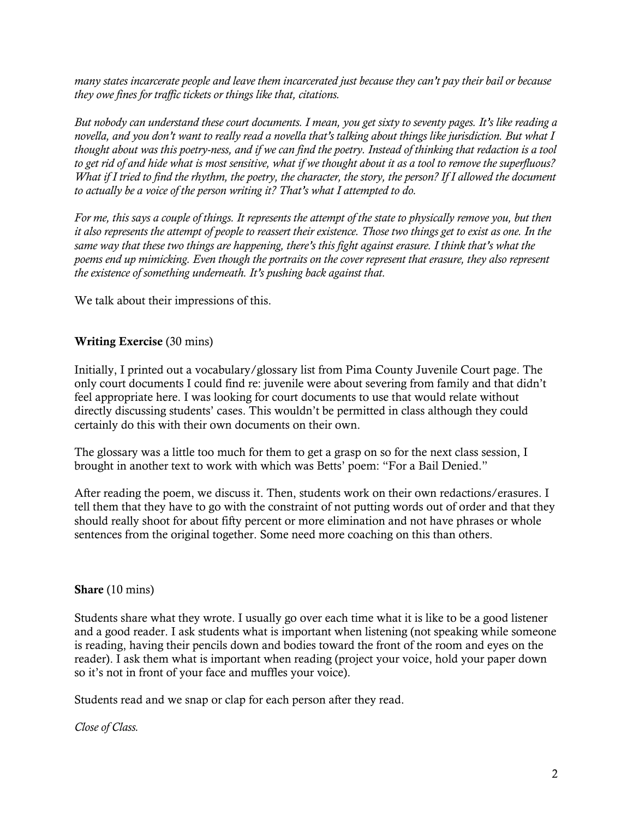*many states incarcerate people and leave them incarcerated just because they can't pay their bail or because they owe fines for traffic tickets or things like that, citations.*

*But nobody can understand these court documents. I mean, you get sixty to seventy pages. It's like reading a novella, and you don't want to really read a novella that's talking about things like jurisdiction. But what I thought about was this poetry-ness, and if we can find the poetry. Instead of thinking that redaction is a tool to get rid of and hide what is most sensitive, what if we thought about it as a tool to remove the superfluous? What if I tried to find the rhythm, the poetry, the character, the story, the person? If I allowed the document to actually be a voice of the person writing it? That's what I attempted to do.*

*For me, this says a couple of things. It represents the attempt of the state to physically remove you, but then it also represents the attempt of people to reassert their existence. Those two things get to exist as one. In the same way that these two things are happening, there's this fight against erasure. I think that's what the poems end up mimicking. Even though the portraits on the cover represent that erasure, they also represent the existence of something underneath. It's pushing back against that.*

We talk about their impressions of this.

## Writing Exercise (30 mins)

Initially, I printed out a vocabulary/glossary list from Pima County Juvenile Court page. The only court documents I could find re: juvenile were about severing from family and that didn't feel appropriate here. I was looking for court documents to use that would relate without directly discussing students' cases. This wouldn't be permitted in class although they could certainly do this with their own documents on their own.

The glossary was a little too much for them to get a grasp on so for the next class session, I brought in another text to work with which was Betts' poem: "For a Bail Denied."

After reading the poem, we discuss it. Then, students work on their own redactions/erasures. I tell them that they have to go with the constraint of not putting words out of order and that they should really shoot for about fifty percent or more elimination and not have phrases or whole sentences from the original together. Some need more coaching on this than others.

## Share (10 mins)

Students share what they wrote. I usually go over each time what it is like to be a good listener and a good reader. I ask students what is important when listening (not speaking while someone is reading, having their pencils down and bodies toward the front of the room and eyes on the reader). I ask them what is important when reading (project your voice, hold your paper down so it's not in front of your face and muffles your voice).

Students read and we snap or clap for each person after they read.

## *Close of Class.*